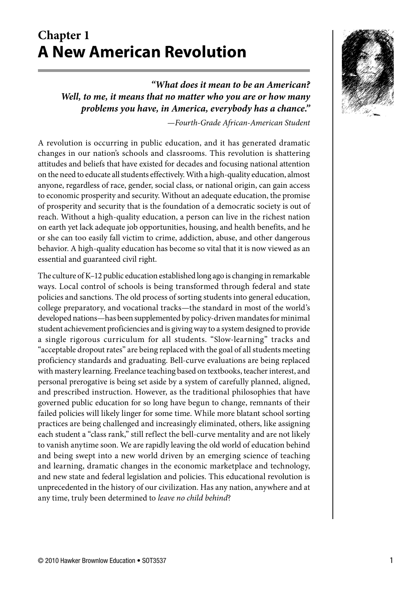# **Chapter 1 A New American Revolution**



*"What does it mean to be an American? Well, to me, it means that no matter who you are or how many problems you have, in America, everybody has a chance."*

*—Fourth-Grade African-American Student*

A revolution is occurring in public education, and it has generated dramatic changes in our nation's schools and classrooms. This revolution is shattering attitudes and beliefs that have existed for decades and focusing national attention on the need to educate all students effectively. With a high-quality education, almost anyone, regardless of race, gender, social class, or national origin, can gain access to economic prosperity and security. Without an adequate education, the promise of prosperity and security that is the foundation of a democratic society is out of reach. Without a high-quality education, a person can live in the richest nation on earth yet lack adequate job opportunities, housing, and health benefits, and he or she can too easily fall victim to crime, addiction, abuse, and other dangerous behavior. A high-quality education has become so vital that it is now viewed as an essential and guaranteed civil right.

The culture of K–12 public education established long ago is changing in remarkable ways. Local control of schools is being transformed through federal and state policies and sanctions. The old process of sorting students into general education, college preparatory, and vocational tracks—the standard in most of the world's developed nations—has been supplemented by policy-driven mandates for minimal student achievement proficiencies and is giving way to a system designed to provide a single rigorous curriculum for all students. "Slow-learning" tracks and "acceptable dropout rates" are being replaced with the goal of all students meeting proficiency standards and graduating. Bell-curve evaluations are being replaced with mastery learning. Freelance teaching based on textbooks, teacher interest, and personal prerogative is being set aside by a system of carefully planned, aligned, and prescribed instruction. However, as the traditional philosophies that have governed public education for so long have begun to change, remnants of their failed policies will likely linger for some time. While more blatant school sorting practices are being challenged and increasingly eliminated, others, like assigning each student a "class rank," still reflect the bell-curve mentality and are not likely to vanish anytime soon. We are rapidly leaving the old world of education behind and being swept into a new world driven by an emerging science of teaching and learning, dramatic changes in the economic marketplace and technology, and new state and federal legislation and policies. This educational revolution is unprecedented in the history of our civilization. Has any nation, anywhere and at any time, truly been determined to *leave no child behind*?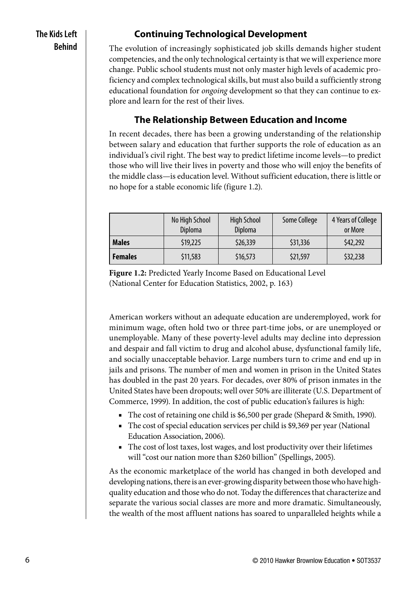## **The Kids Left Behind**

## **Continuing Technological Development**

The evolution of increasingly sophisticated job skills demands higher student competencies, and the only technological certainty is that we will experience more change. Public school students must not only master high levels of academic proficiency and complex technological skills, but must also build a sufficiently strong educational foundation for *ongoing* development so that they can continue to explore and learn for the rest of their lives.

## **The Relationship Between Education and Income**

In recent decades, there has been a growing understanding of the relationship between salary and education that further supports the role of education as an individual's civil right. The best way to predict lifetime income levels—to predict those who will live their lives in poverty and those who will enjoy the benefits of the middle class—is education level. Without sufficient education, there is little or no hope for a stable economic life (figure 1.2).

|                | No High School<br>Diploma | <b>High School</b><br>Diploma | Some College | 4 Years of College<br>or More |
|----------------|---------------------------|-------------------------------|--------------|-------------------------------|
| <b>Males</b>   | \$19,225                  | \$26,339                      | \$31,336     | \$42,292                      |
| <b>Females</b> | \$11,583                  | \$16,573                      | \$21,597     | \$32,238                      |

**Figure 1.2:** Predicted Yearly Income Based on Educational Level (National Center for Education Statistics, 2002, p. 163)

American workers without an adequate education are underemployed, work for minimum wage, often hold two or three part-time jobs, or are unemployed or unemployable. Many of these poverty-level adults may decline into depression and despair and fall victim to drug and alcohol abuse, dysfunctional family life, and socially unacceptable behavior. Large numbers turn to crime and end up in jails and prisons. The number of men and women in prison in the United States has doubled in the past 20 years. For decades, over 80% of prison inmates in the United States have been dropouts; well over 50% are illiterate (U.S. Department of Commerce, 1999). In addition, the cost of public education's failures is high:

- The cost of retaining one child is \$6,500 per grade (Shepard & Smith, 1990).
- The cost of special education services per child is \$9,369 per year (National Education Association, 2006).
- The cost of lost taxes, lost wages, and lost productivity over their lifetimes will "cost our nation more than \$260 billion" (Spellings, 2005).

As the economic marketplace of the world has changed in both developed and developing nations, there is an ever-growing disparity between those who have highquality education and those who do not. Today the differences that characterize and separate the various social classes are more and more dramatic. Simultaneously, the wealth of the most affluent nations has soared to unparalleled heights while a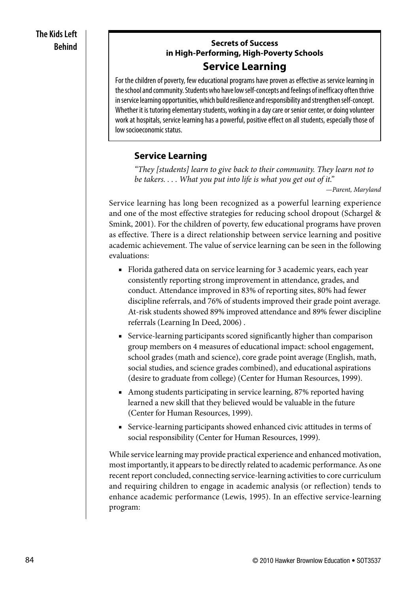#### **Secrets of Success in High-Performing, High-Poverty Schools Service Learning**

For the children of poverty, few educational programs have proven as effective as service learning in the school and community. Students who have low self-concepts and feelings of inefficacy often thrive in service learning opportunities, which build resilience and responsibility and strengthen self-concept. Whether it is tutoring elementary students, working in a day care or senior center, or doing volunteer work at hospitals, service learning has a powerful, positive effect on all students, especially those of low socioeconomic status.

## **Service Learning**

*"They [students] learn to give back to their community. They learn not to be takers. . . . What you put into life is what you get out of it."*

*—Parent, Maryland*

Service learning has long been recognized as a powerful learning experience and one of the most effective strategies for reducing school dropout (Schargel & Smink, 2001). For the children of poverty, few educational programs have proven as effective. There is a direct relationship between service learning and positive academic achievement. The value of service learning can be seen in the following evaluations:

- Florida gathered data on service learning for 3 academic years, each year consistently reporting strong improvement in attendance, grades, and conduct. Attendance improved in 83% of reporting sites, 80% had fewer discipline referrals, and 76% of students improved their grade point average. At-risk students showed 89% improved attendance and 89% fewer discipline referrals (Learning In Deed, 2006) .
- Service-learning participants scored significantly higher than comparison group members on 4 measures of educational impact: school engagement, school grades (math and science), core grade point average (English, math, social studies, and science grades combined), and educational aspirations (desire to graduate from college) (Center for Human Resources, 1999).
- Among students participating in service learning, 87% reported having learned a new skill that they believed would be valuable in the future (Center for Human Resources, 1999).
- Service-learning participants showed enhanced civic attitudes in terms of social responsibility (Center for Human Resources, 1999).

While service learning may provide practical experience and enhanced motivation, most importantly, it appears to be directly related to academic performance. As one recent report concluded, connecting service-learning activities to core curriculum and requiring children to engage in academic analysis (or reflection) tends to enhance academic performance (Lewis, 1995). In an effective service-learning program: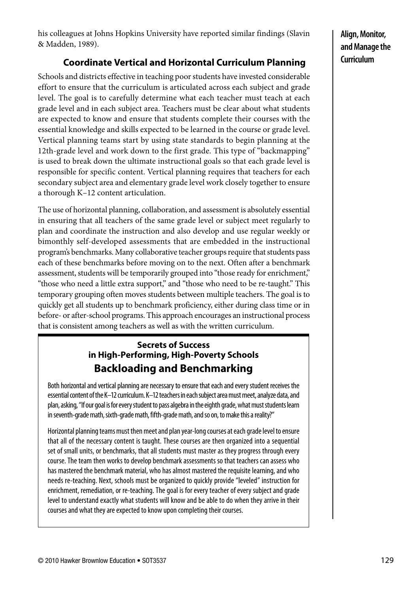his colleagues at Johns Hopkins University have reported similar findings (Slavin & Madden, 1989).

# **Coordinate Vertical and Horizontal Curriculum Planning**

Schools and districts effective in teaching poor students have invested considerable effort to ensure that the curriculum is articulated across each subject and grade level. The goal is to carefully determine what each teacher must teach at each grade level and in each subject area. Teachers must be clear about what students are expected to know and ensure that students complete their courses with the essential knowledge and skills expected to be learned in the course or grade level. Vertical planning teams start by using state standards to begin planning at the 12th-grade level and work down to the first grade. This type of "backmapping" is used to break down the ultimate instructional goals so that each grade level is responsible for specific content. Vertical planning requires that teachers for each secondary subject area and elementary grade level work closely together to ensure a thorough K–12 content articulation.

The use of horizontal planning, collaboration, and assessment is absolutely essential in ensuring that all teachers of the same grade level or subject meet regularly to plan and coordinate the instruction and also develop and use regular weekly or bimonthly self-developed assessments that are embedded in the instructional program's benchmarks. Many collaborative teacher groups require that students pass each of these benchmarks before moving on to the next. Often after a benchmark assessment, students will be temporarily grouped into "those ready for enrichment," "those who need a little extra support," and "those who need to be re-taught." This temporary grouping often moves students between multiple teachers. The goal is to quickly get all students up to benchmark proficiency, either during class time or in before- or after-school programs. This approach encourages an instructional process that is consistent among teachers as well as with the written curriculum.

## **Secrets of Success in High-Performing, High-Poverty Schools Backloading and Benchmarking**

Both horizontal and vertical planning are necessary to ensure that each and every student receives the essential content of the K–12 curriculum. K–12 teachers in each subject area must meet, analyze data, and plan, asking, "If our goal is for every student to pass algebra in the eighth grade, what must students learn in seventh-grade math, sixth-grade math, fifth-grade math, and so on, to make this a reality?"

Horizontal planning teams must then meet and plan year-long courses at each grade level to ensure that all of the necessary content is taught. These courses are then organized into a sequential set of small units, or benchmarks, that all students must master as they progress through every course. The team then works to develop benchmark assessments so that teachers can assess who has mastered the benchmark material, who has almost mastered the requisite learning, and who needs re-teaching. Next, schools must be organized to quickly provide "leveled" instruction for enrichment, remediation, or re-teaching. The goal is for every teacher of every subject and grade level to understand exactly what students will know and be able to do when they arrive in their courses and what they are expected to know upon completing their courses.